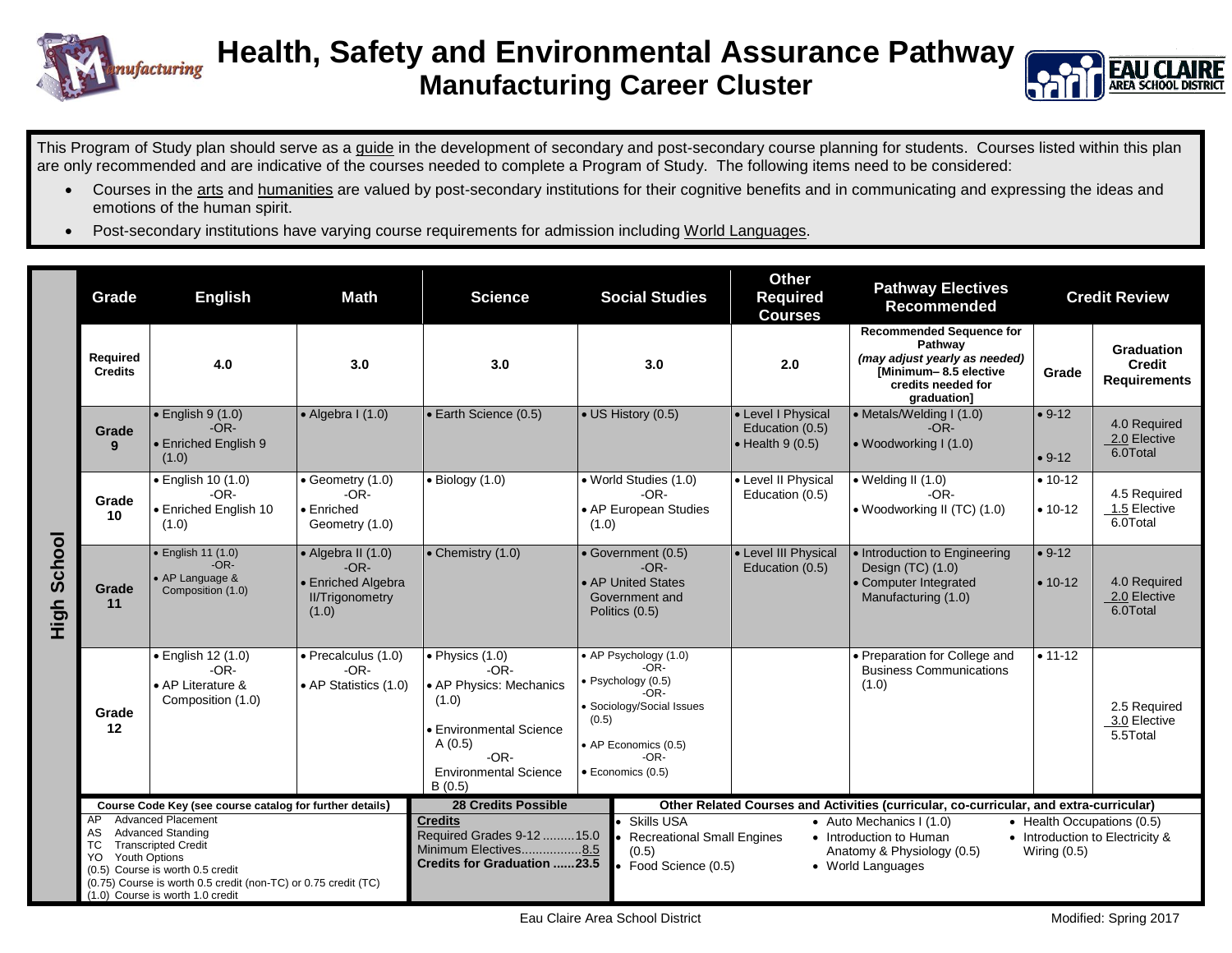



This Program of Study plan should serve as a guide in the development of secondary and post-secondary course planning for students. Courses listed within this plan are only recommended and are indicative of the courses needed to complete a Program of Study. The following items need to be considered:

- Courses in the arts and humanities are valued by post-secondary institutions for their cognitive benefits and in communicating and expressing the ideas and emotions of the human spirit.
- Post-secondary institutions have varying course requirements for admission including World Languages.

|                                                                                                                                                                                                                                                                                                 |                             |                                                                                                                                                                                                                                  |                                                                                                                                                                                                                                                                                                                                                                                                                                                                                                                          | <b>Social Studies</b>                                                                                                                                                | <b>Required</b><br><b>Courses</b>           | Recommended                                                                                                                               |                          | <b>Credit Review</b>                               |
|-------------------------------------------------------------------------------------------------------------------------------------------------------------------------------------------------------------------------------------------------------------------------------------------------|-----------------------------|----------------------------------------------------------------------------------------------------------------------------------------------------------------------------------------------------------------------------------|--------------------------------------------------------------------------------------------------------------------------------------------------------------------------------------------------------------------------------------------------------------------------------------------------------------------------------------------------------------------------------------------------------------------------------------------------------------------------------------------------------------------------|----------------------------------------------------------------------------------------------------------------------------------------------------------------------|---------------------------------------------|-------------------------------------------------------------------------------------------------------------------------------------------|--------------------------|----------------------------------------------------|
| Required<br><b>Credits</b>                                                                                                                                                                                                                                                                      | 4.0                         | 3.0                                                                                                                                                                                                                              | 3.0                                                                                                                                                                                                                                                                                                                                                                                                                                                                                                                      | 3.0                                                                                                                                                                  | 2.0                                         | <b>Recommended Sequence for</b><br>Pathway<br>(may adjust yearly as needed)<br>[Minimum-8.5 elective<br>credits needed for<br>graduation] | Grade                    | Graduation<br><b>Credit</b><br><b>Requirements</b> |
| Grade<br>9                                                                                                                                                                                                                                                                                      | $-OR-$<br>(1.0)             |                                                                                                                                                                                                                                  |                                                                                                                                                                                                                                                                                                                                                                                                                                                                                                                          |                                                                                                                                                                      | Education (0.5)<br>$\bullet$ Health 9 (0.5) | $-OR-$<br>• Woodworking I (1.0)                                                                                                           | $• 9-12$                 | 4.0 Required<br>2.0 Elective<br>6.0Total           |
| Grade<br>10                                                                                                                                                                                                                                                                                     | $-OR-$<br>(1.0)             | • Geometry (1.0)<br>$-OR-$<br>$\bullet$ Enriched<br>Geometry (1.0)                                                                                                                                                               | $\bullet$ Biology (1.0)                                                                                                                                                                                                                                                                                                                                                                                                                                                                                                  | • World Studies (1.0)<br>$-OR-$<br>• AP European Studies<br>(1.0)                                                                                                    | • Level II Physical<br>Education (0.5)      | $\bullet$ Welding II (1.0)<br>$-OR-$<br>• Woodworking II (TC) (1.0)                                                                       | $• 10-12$<br>$• 10-12$   | 4.5 Required<br>1.5 Elective<br>6.0Total           |
| Grade<br>11                                                                                                                                                                                                                                                                                     | $-OR-$<br>Composition (1.0) | $-OR-$<br>• Enriched Algebra<br><b>II/Trigonometry</b><br>(1.0)                                                                                                                                                                  | • Chemistry (1.0)                                                                                                                                                                                                                                                                                                                                                                                                                                                                                                        | • Government (0.5)<br>$-OR-$<br>• AP United States<br>Government and<br>Politics (0.5)                                                                               | Education (0.5)                             | • Introduction to Engineering<br>Design (TC) (1.0)<br>• Computer Integrated<br>Manufacturing (1.0)                                        | $• 9-12$<br>$• 10-12$    | 4.0 Required<br>2.0 Elective<br>6.0Total           |
| Grade<br>12                                                                                                                                                                                                                                                                                     | $-OR-$<br>Composition (1.0) | $-OR-$                                                                                                                                                                                                                           | $\bullet$ Physics $(1.0)$<br>$-OR-$<br>• AP Physics: Mechanics<br>(1.0)<br><b>Environmental Science</b><br>A(0.5)<br>$-OR-$<br><b>Environmental Science</b><br>B(0.5)                                                                                                                                                                                                                                                                                                                                                    | • AP Psychology (1.0)<br>$-OR-$<br>· Psychology (0.5)<br>$-OR-$<br>• Sociology/Social Issues<br>(0.5)<br>• AP Economics (0.5)<br>$-OR-$<br>$\bullet$ Economics (0.5) |                                             | • Preparation for College and<br><b>Business Communications</b><br>(1.0)                                                                  | $• 11-12$                | 2.5 Required<br>3.0 Elective<br>5.5Total           |
| Course Code Key (see course catalog for further details)<br><b>Advanced Placement</b><br>AP<br><b>Advanced Standing</b><br>AS<br><b>Transcripted Credit</b><br>TC<br>Youth Options<br>YO.<br>(0.5) Course is worth 0.5 credit<br>(0.75) Course is worth 0.5 credit (non-TC) or 0.75 credit (TC) |                             |                                                                                                                                                                                                                                  | <b>28 Credits Possible</b><br>Other Related Courses and Activities (curricular, co-curricular, and extra-curricular)<br><b>Credits</b><br><b>Skills USA</b><br>• Auto Mechanics I (1.0)<br>• Health Occupations (0.5)<br>Required Grades 9-12  15.0<br><b>Recreational Small Engines</b><br>• Introduction to Human<br>• Introduction to Electricity &<br>Minimum Electives8.5<br>(0.5)<br>Anatomy & Physiology (0.5)<br>Wiring $(0.5)$<br><b>Credits for Graduation 23.5</b><br>Food Science (0.5)<br>• World Languages |                                                                                                                                                                      |                                             |                                                                                                                                           |                          |                                                    |
|                                                                                                                                                                                                                                                                                                 |                             | $\bullet$ English 9 (1.0)<br>• Enriched English 9<br>• English 10 (1.0)<br>• Enriched English 10<br>$\bullet$ English 11 (1.0)<br>• AP Language &<br>· English 12 (1.0)<br>• AP Literature &<br>(1.0) Course is worth 1.0 credit | $\bullet$ Algebra I (1.0)<br>• Algebra II (1.0)<br>• Precalculus (1.0)<br>• AP Statistics (1.0)                                                                                                                                                                                                                                                                                                                                                                                                                          | • Earth Science (0.5)                                                                                                                                                | • US History (0.5)                          | • Level I Physical<br>• Level III Physical                                                                                                | • Metals/Welding I (1.0) | $• 9-12$                                           |